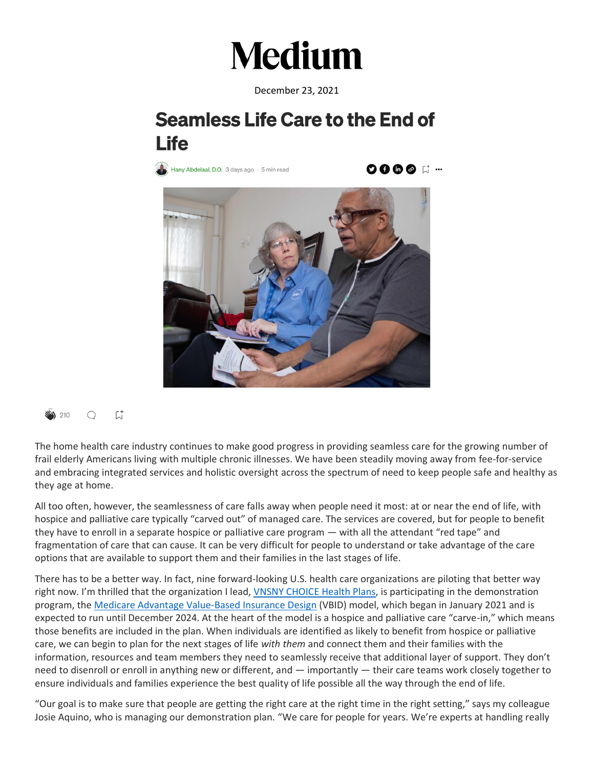## **Medium**

December 23, 2021

## **Seamless Life Care to the End of Life**

Hany Abdelaal, D.O. 3 days ago  $\cdot$  5 min read

**0000** ば…





The home health care industry continues to make good progress in providing seamless care for the growing number of frail elderly Americans living with multiple chronic illnesses. We have been steadily moving away from fee-for-service and embracing integrated services and holistic oversight across the spectrum of need to keep people safe and healthy as they age at home.

All too often, however, the seamlessness of care falls away when people need it most: at or near the end of life, with hospice and palliative care typically "carved out" of managed care. The services are covered, but for people to benefit they have to enroll in a separate hospice or palliative care program — with all the attendant "red tape" and fragmentation of care that can cause. It can be very difficult for people to understand or take advantage of the care options that are available to support them and their families in the last stages of life.

There has to be a better way. In fact, nine forward-looking U.S. health care organizations are piloting that better way right now. I'm thrilled that the organization I lead, *VNSNY CHOICE Health Plans*, is participating in the demonstration program, the [Medicare Advantage Value-Based Insurance Design](https://innovation.cms.gov/innovation-models/vbid) (VBID) model, which began in January 2021 and is expected to run until December 2024. At the heart of the model is a hospice and palliative care "carve-in," which means those benefits are included in the plan. When individuals are identified as likely to benefit from hospice or palliative care, we can begin to plan for the next stages of life *with them* and connect them and their families with the information, resources and team members they need to seamlessly receive that additional layer of support. They don't need to disenroll or enroll in anything new or different, and — importantly — their care teams work closely together to ensure individuals and families experience the best quality of life possible all the way through the end of life.

"Our goal is to make sure that people are getting the right care at the right time in the right setting," says my colleague Josie Aquino, who is managing our demonstration plan. "We care for people for years. We're experts at handling really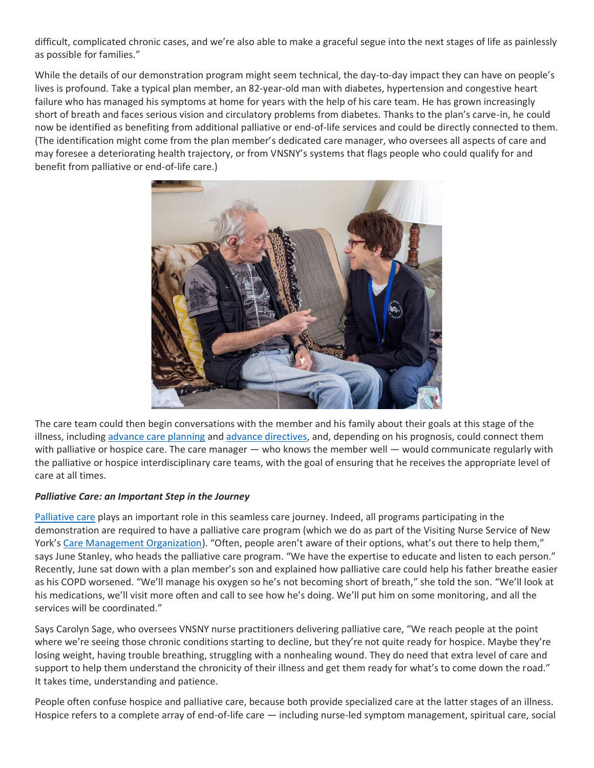difficult, complicated chronic cases, and we're also able to make a graceful segue into the next stages of life as painlessly as possible for families."

While the details of our demonstration program might seem technical, the day-to-day impact they can have on people's lives is profound. Take a typical plan member, an 82-year-old man with diabetes, hypertension and congestive heart failure who has managed his symptoms at home for years with the help of his care team. He has grown increasingly short of breath and faces serious vision and circulatory problems from diabetes. Thanks to the plan's carve-in, he could now be identified as benefiting from additional palliative or end-of-life services and could be directly connected to them. (The identification might come from the plan member's dedicated care manager, who oversees all aspects of care and may foresee a deteriorating health trajectory, or from VNSNY's systems that flags people who could qualify for and benefit from palliative or end-of-life care.)



The care team could then begin conversations with the member and his family about their goals at this stage of the illness, including [advance care planning](https://www.vnsny.org/how-we-can-help/home-healthcare-basics/what-is-advance-care-planning/) and [advance directives,](https://www.vnsny.org/article/end-life-legal-information-advance-directives/) and, depending on his prognosis, could connect them with palliative or hospice care. The care manager — who knows the member well — would communicate regularly with the palliative or hospice interdisciplinary care teams, with the goal of ensuring that he receives the appropriate level of care at all times.

## *Palliative Care: an Important Step in the Journey*

[Palliative care](https://www.nia.nih.gov/health/what-are-palliative-care-and-hospice-care#palliative) plays an important role in this seamless care journey. Indeed, all programs participating in the demonstration are required to have a palliative care program (which we do as part of the Visiting Nurse Service of New York's [Care Management Organization](https://care360solutions.vnsny.org/)). "Often, people aren't aware of their options, what's out there to help them," says June Stanley, who heads the palliative care program. "We have the expertise to educate and listen to each person." Recently, June sat down with a plan member's son and explained how palliative care could help his father breathe easier as his COPD worsened. "We'll manage his oxygen so he's not becoming short of breath," she told the son. "We'll look at his medications, we'll visit more often and call to see how he's doing. We'll put him on some monitoring, and all the services will be coordinated."

Says Carolyn Sage, who oversees VNSNY nurse practitioners delivering palliative care, "We reach people at the point where we're seeing those chronic conditions starting to decline, but they're not quite ready for hospice. Maybe they're losing weight, having trouble breathing, struggling with a nonhealing wound. They do need that extra level of care and support to help them understand the chronicity of their illness and get them ready for what's to come down the road." It takes time, understanding and patience.

People often confuse hospice and palliative care, because both provide specialized care at the latter stages of an illness. Hospice refers to a complete array of end-of-life care — including nurse-led symptom management, spiritual care, social